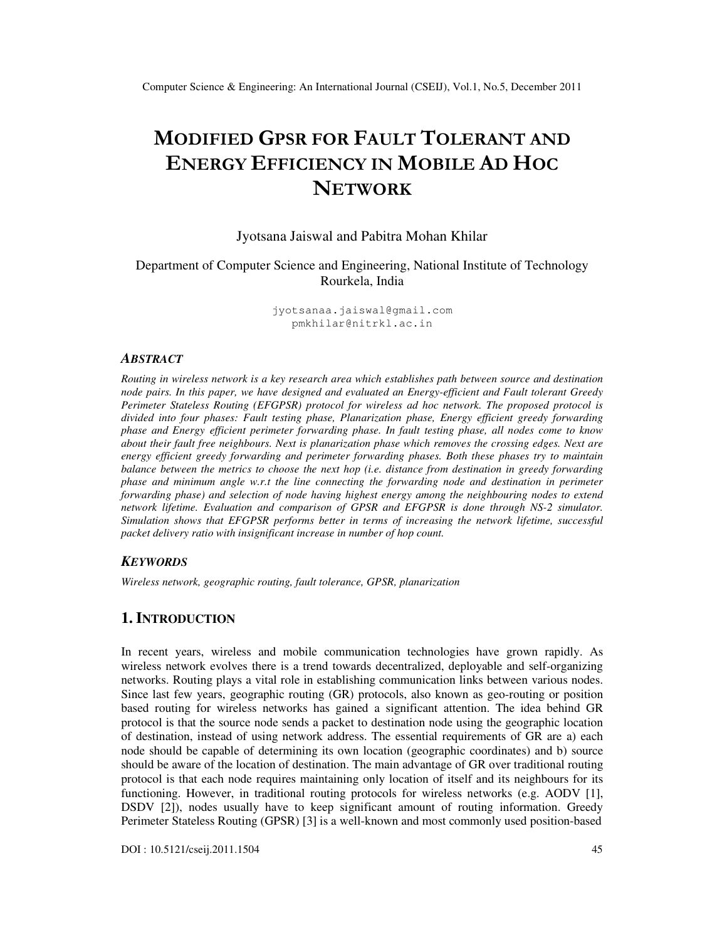# MODIFIED GPSR FOR FAULT TOLERANT AND ENERGY EFFICIENCY IN MOBILE AD HOC **NETWORK**

## Jyotsana Jaiswal and Pabitra Mohan Khilar

## Department of Computer Science and Engineering, National Institute of Technology Rourkela, India

jyotsanaa.jaiswal@gmail.com pmkhilar@nitrkl.ac.in

#### *ABSTRACT*

*Routing in wireless network is a key research area which establishes path between source and destination node pairs. In this paper, we have designed and evaluated an Energy-efficient and Fault tolerant Greedy Perimeter Stateless Routing (EFGPSR) protocol for wireless ad hoc network. The proposed protocol is divided into four phases: Fault testing phase, Planarization phase, Energy efficient greedy forwarding phase and Energy efficient perimeter forwarding phase. In fault testing phase, all nodes come to know about their fault free neighbours. Next is planarization phase which removes the crossing edges. Next are energy efficient greedy forwarding and perimeter forwarding phases. Both these phases try to maintain balance between the metrics to choose the next hop (i.e. distance from destination in greedy forwarding phase and minimum angle w.r.t the line connecting the forwarding node and destination in perimeter forwarding phase) and selection of node having highest energy among the neighbouring nodes to extend network lifetime. Evaluation and comparison of GPSR and EFGPSR is done through NS-2 simulator. Simulation shows that EFGPSR performs better in terms of increasing the network lifetime, successful packet delivery ratio with insignificant increase in number of hop count.* 

## *KEYWORDS*

*Wireless network, geographic routing, fault tolerance, GPSR, planarization* 

## **1. INTRODUCTION**

In recent years, wireless and mobile communication technologies have grown rapidly. As wireless network evolves there is a trend towards decentralized, deployable and self-organizing networks. Routing plays a vital role in establishing communication links between various nodes. Since last few years, geographic routing (GR) protocols, also known as geo-routing or position based routing for wireless networks has gained a significant attention. The idea behind GR protocol is that the source node sends a packet to destination node using the geographic location of destination, instead of using network address. The essential requirements of GR are a) each node should be capable of determining its own location (geographic coordinates) and b) source should be aware of the location of destination. The main advantage of GR over traditional routing protocol is that each node requires maintaining only location of itself and its neighbours for its functioning. However, in traditional routing protocols for wireless networks (e.g. AODV [1], DSDV [2]), nodes usually have to keep significant amount of routing information. Greedy Perimeter Stateless Routing (GPSR) [3] is a well-known and most commonly used position-based

DOI : 10.5121/cseij.2011.1504 45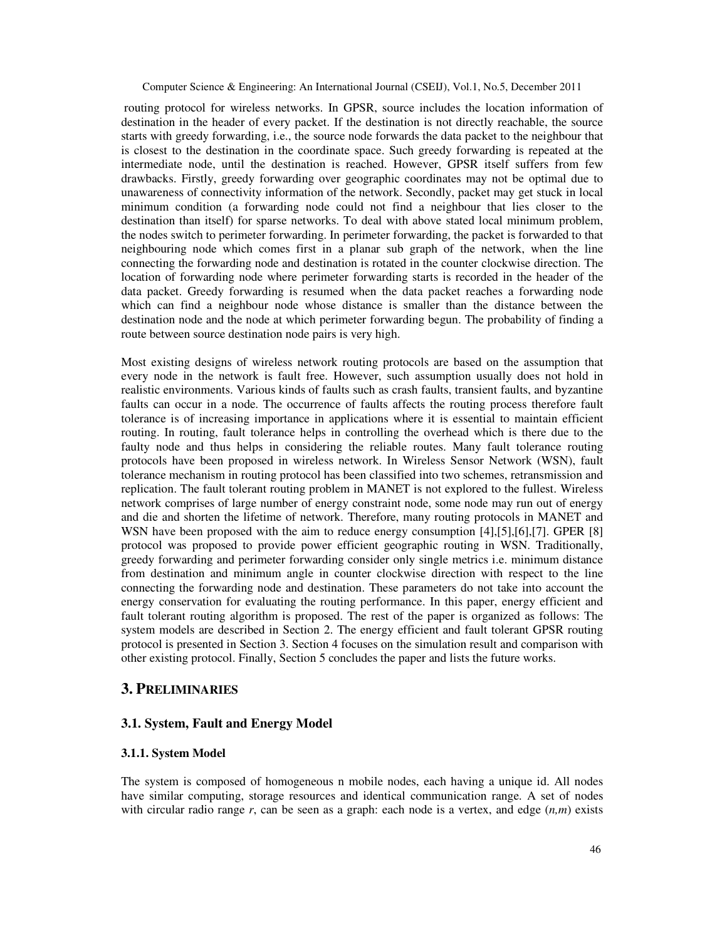routing protocol for wireless networks. In GPSR, source includes the location information of destination in the header of every packet. If the destination is not directly reachable, the source starts with greedy forwarding, i.e., the source node forwards the data packet to the neighbour that is closest to the destination in the coordinate space. Such greedy forwarding is repeated at the intermediate node, until the destination is reached. However, GPSR itself suffers from few drawbacks. Firstly, greedy forwarding over geographic coordinates may not be optimal due to unawareness of connectivity information of the network. Secondly, packet may get stuck in local minimum condition (a forwarding node could not find a neighbour that lies closer to the destination than itself) for sparse networks. To deal with above stated local minimum problem, the nodes switch to perimeter forwarding. In perimeter forwarding, the packet is forwarded to that neighbouring node which comes first in a planar sub graph of the network, when the line connecting the forwarding node and destination is rotated in the counter clockwise direction. The location of forwarding node where perimeter forwarding starts is recorded in the header of the data packet. Greedy forwarding is resumed when the data packet reaches a forwarding node which can find a neighbour node whose distance is smaller than the distance between the destination node and the node at which perimeter forwarding begun. The probability of finding a route between source destination node pairs is very high.

Most existing designs of wireless network routing protocols are based on the assumption that every node in the network is fault free. However, such assumption usually does not hold in realistic environments. Various kinds of faults such as crash faults, transient faults, and byzantine faults can occur in a node. The occurrence of faults affects the routing process therefore fault tolerance is of increasing importance in applications where it is essential to maintain efficient routing. In routing, fault tolerance helps in controlling the overhead which is there due to the faulty node and thus helps in considering the reliable routes. Many fault tolerance routing protocols have been proposed in wireless network. In Wireless Sensor Network (WSN), fault tolerance mechanism in routing protocol has been classified into two schemes, retransmission and replication. The fault tolerant routing problem in MANET is not explored to the fullest. Wireless network comprises of large number of energy constraint node, some node may run out of energy and die and shorten the lifetime of network. Therefore, many routing protocols in MANET and WSN have been proposed with the aim to reduce energy consumption [4],[5],[6],[7]. GPER [8] protocol was proposed to provide power efficient geographic routing in WSN. Traditionally, greedy forwarding and perimeter forwarding consider only single metrics i.e. minimum distance from destination and minimum angle in counter clockwise direction with respect to the line connecting the forwarding node and destination. These parameters do not take into account the energy conservation for evaluating the routing performance. In this paper, energy efficient and fault tolerant routing algorithm is proposed. The rest of the paper is organized as follows: The system models are described in Section 2. The energy efficient and fault tolerant GPSR routing protocol is presented in Section 3. Section 4 focuses on the simulation result and comparison with other existing protocol. Finally, Section 5 concludes the paper and lists the future works.

#### **3. PRELIMINARIES**

#### **3.1. System, Fault and Energy Model**

## **3.1.1. System Model**

The system is composed of homogeneous n mobile nodes, each having a unique id. All nodes have similar computing, storage resources and identical communication range. A set of nodes with circular radio range  $r$ , can be seen as a graph: each node is a vertex, and edge  $(n,m)$  exists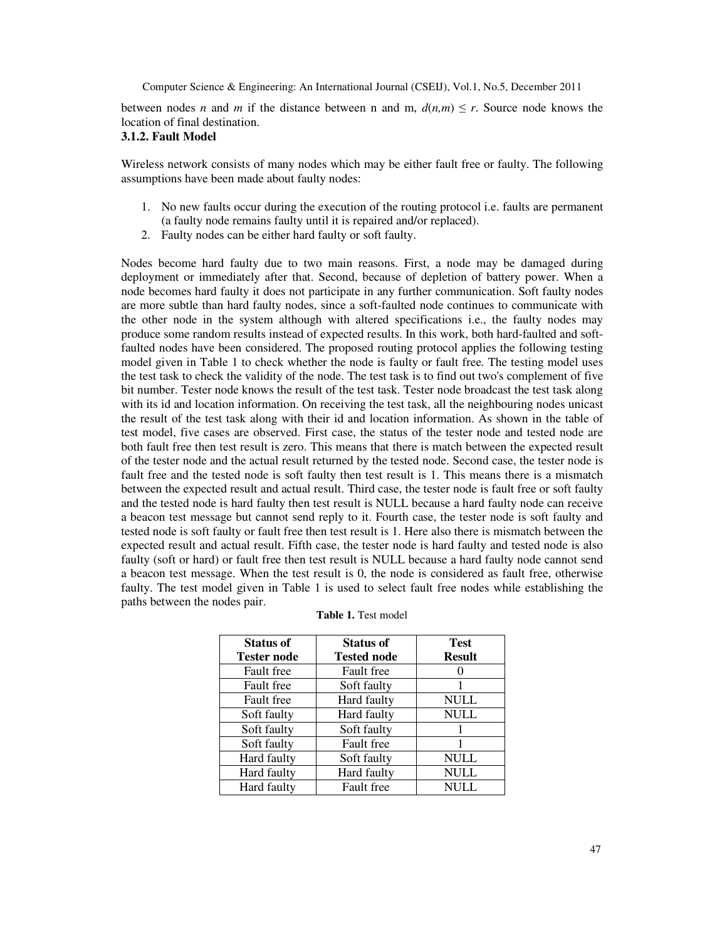between nodes *n* and *m* if the distance between n and m,  $d(n,m) \leq r$ . Source node knows the location of final destination.

# **3.1.2. Fault Model**

Wireless network consists of many nodes which may be either fault free or faulty. The following assumptions have been made about faulty nodes:

- 1. No new faults occur during the execution of the routing protocol i.e. faults are permanent (a faulty node remains faulty until it is repaired and/or replaced).
- 2. Faulty nodes can be either hard faulty or soft faulty.

Nodes become hard faulty due to two main reasons. First, a node may be damaged during deployment or immediately after that. Second, because of depletion of battery power. When a node becomes hard faulty it does not participate in any further communication. Soft faulty nodes are more subtle than hard faulty nodes, since a soft-faulted node continues to communicate with the other node in the system although with altered specifications i.e., the faulty nodes may produce some random results instead of expected results. In this work, both hard-faulted and softfaulted nodes have been considered. The proposed routing protocol applies the following testing model given in Table 1 to check whether the node is faulty or fault free. The testing model uses the test task to check the validity of the node. The test task is to find out two's complement of five bit number. Tester node knows the result of the test task. Tester node broadcast the test task along with its id and location information. On receiving the test task, all the neighbouring nodes unicast the result of the test task along with their id and location information. As shown in the table of test model, five cases are observed. First case, the status of the tester node and tested node are both fault free then test result is zero. This means that there is match between the expected result of the tester node and the actual result returned by the tested node. Second case, the tester node is fault free and the tested node is soft faulty then test result is 1. This means there is a mismatch between the expected result and actual result. Third case, the tester node is fault free or soft faulty and the tested node is hard faulty then test result is NULL because a hard faulty node can receive a beacon test message but cannot send reply to it. Fourth case, the tester node is soft faulty and tested node is soft faulty or fault free then test result is 1. Here also there is mismatch between the expected result and actual result. Fifth case, the tester node is hard faulty and tested node is also faulty (soft or hard) or fault free then test result is NULL because a hard faulty node cannot send a beacon test message. When the test result is 0, the node is considered as fault free, otherwise faulty. The test model given in Table 1 is used to select fault free nodes while establishing the paths between the nodes pair.

| Status of          | <b>Status of</b>   | <b>Test</b>   |
|--------------------|--------------------|---------------|
| <b>Tester node</b> | <b>Tested node</b> | <b>Result</b> |
| <b>Fault</b> free  | <b>Fault</b> free  |               |
| <b>Fault</b> free  | Soft faulty        |               |
| <b>Fault</b> free  | Hard faulty        | <b>NULL</b>   |
| Soft faulty        | Hard faulty        | <b>NULL</b>   |
| Soft faulty        | Soft faulty        |               |
| Soft faulty        | Fault free         |               |
| Hard faulty        | Soft faulty        | <b>NULL</b>   |
| Hard faulty        | Hard faulty        | <b>NULL</b>   |
| Hard faulty        | <b>Fault</b> free  | NULL          |

| <b>Table 1.</b> Test model |  |
|----------------------------|--|
|----------------------------|--|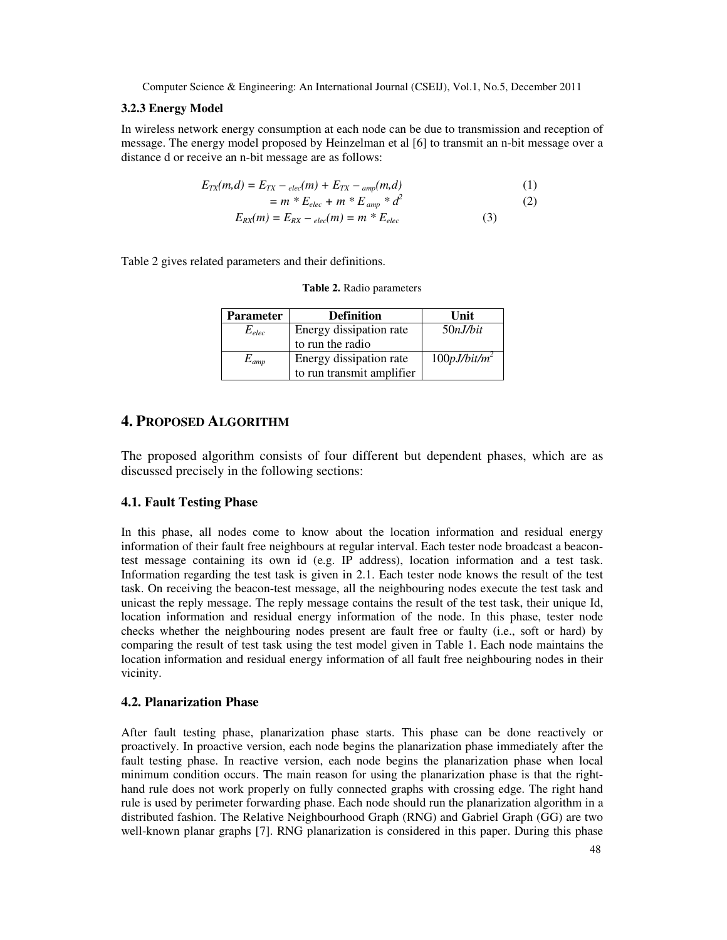#### **3.2.3 Energy Model**

In wireless network energy consumption at each node can be due to transmission and reception of message. The energy model proposed by Heinzelman et al [6] to transmit an n-bit message over a distance d or receive an n-bit message are as follows:

$$
E_{TX}(m,d) = E_{TX} -_{elec}(m) + E_{TX} -_{amp}(m,d)
$$
 (1)

$$
= m * E_{elec} + m * E_{amp} * d^2 \tag{2}
$$

$$
E_{RX}(m) = E_{RX} -_{elec}(m) = m * E_{elec}
$$
 (3)

Table 2 gives related parameters and their definitions.

| Table 2. Radio parameters |  |
|---------------------------|--|
|                           |  |

| <b>Parameter</b>  | <b>Definition</b>         | Unit                        |
|-------------------|---------------------------|-----------------------------|
| $E_{\text{elec}}$ | Energy dissipation rate   | $50nJ/b$ it                 |
|                   | to run the radio          |                             |
| $E_{amp}$         | Energy dissipation rate   | $100pJ/b$ it/m <sup>2</sup> |
|                   | to run transmit amplifier |                             |

## **4. PROPOSED ALGORITHM**

The proposed algorithm consists of four different but dependent phases, which are as discussed precisely in the following sections:

## **4.1. Fault Testing Phase**

In this phase, all nodes come to know about the location information and residual energy information of their fault free neighbours at regular interval. Each tester node broadcast a beacontest message containing its own id (e.g. IP address), location information and a test task. Information regarding the test task is given in 2.1. Each tester node knows the result of the test task. On receiving the beacon-test message, all the neighbouring nodes execute the test task and unicast the reply message. The reply message contains the result of the test task, their unique Id, location information and residual energy information of the node. In this phase, tester node checks whether the neighbouring nodes present are fault free or faulty (i.e., soft or hard) by comparing the result of test task using the test model given in Table 1. Each node maintains the location information and residual energy information of all fault free neighbouring nodes in their vicinity.

## **4.2. Planarization Phase**

After fault testing phase, planarization phase starts. This phase can be done reactively or proactively. In proactive version, each node begins the planarization phase immediately after the fault testing phase. In reactive version, each node begins the planarization phase when local minimum condition occurs. The main reason for using the planarization phase is that the righthand rule does not work properly on fully connected graphs with crossing edge. The right hand rule is used by perimeter forwarding phase. Each node should run the planarization algorithm in a distributed fashion. The Relative Neighbourhood Graph (RNG) and Gabriel Graph (GG) are two well-known planar graphs [7]. RNG planarization is considered in this paper. During this phase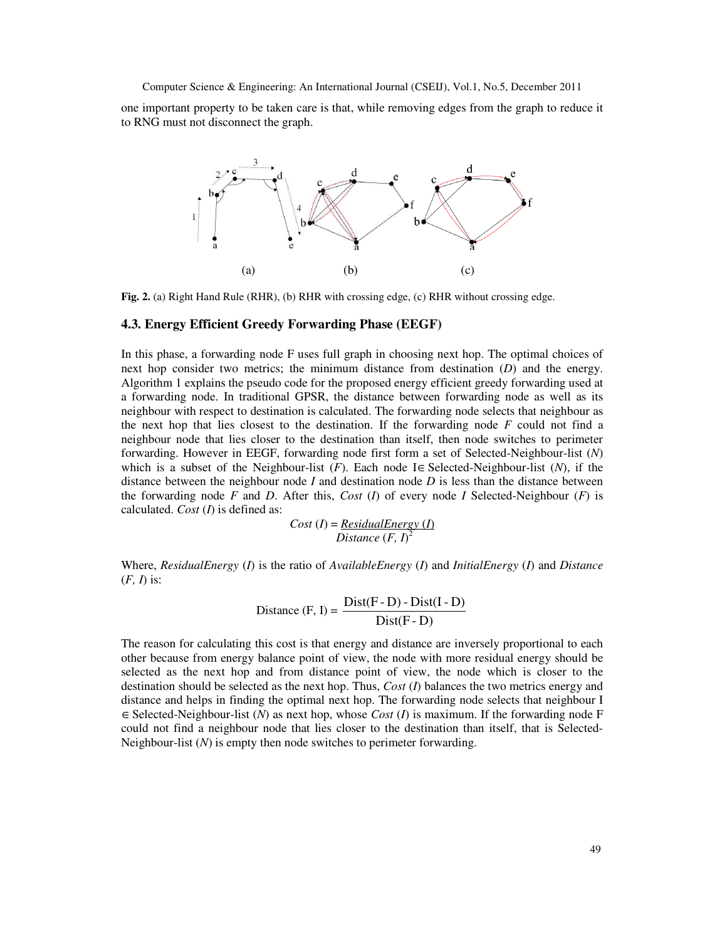one important property to be taken care is that, while removing edges from the graph to reduce it to RNG must not disconnect the graph.



**Fig. 2.** (a) Right Hand Rule (RHR), (b) RHR with crossing edge, (c) RHR without crossing edge.

#### **4.3. Energy Efficient Greedy Forwarding Phase (EEGF)**

In this phase, a forwarding node F uses full graph in choosing next hop. The optimal choices of next hop consider two metrics; the minimum distance from destination (*D*) and the energy. Algorithm 1 explains the pseudo code for the proposed energy efficient greedy forwarding used at a forwarding node. In traditional GPSR, the distance between forwarding node as well as its neighbour with respect to destination is calculated. The forwarding node selects that neighbour as the next hop that lies closest to the destination. If the forwarding node *F* could not find a neighbour node that lies closer to the destination than itself, then node switches to perimeter forwarding. However in EEGF, forwarding node first form a set of Selected-Neighbour-list (*N*) which is a subset of the Neighbour-list  $(F)$ . Each node I $\in$  Selected-Neighbour-list  $(N)$ , if the distance between the neighbour node *I* and destination node *D* is less than the distance between the forwarding node  $F$  and  $D$ . After this, *Cost* (*I*) of every node  $I$  Selected-Neighbour  $(F)$  is calculated. *Cost* (*I*) is defined as:

*Cost* (*I*) = *ResidualEnergy* (*I*)  *Distance* (*F, I*) 2

Where, *ResidualEnergy* (*I*) is the ratio of *AvailableEnergy* (*I*) and *InitialEnergy* (*I*) and *Distance*  (*F, I*) is:

Distance (F, I) = 
$$
\frac{Dist(F - D) - Dist(I - D)}{Dist(F - D)}
$$

The reason for calculating this cost is that energy and distance are inversely proportional to each other because from energy balance point of view, the node with more residual energy should be selected as the next hop and from distance point of view, the node which is closer to the destination should be selected as the next hop. Thus, *Cost* (*I*) balances the two metrics energy and distance and helps in finding the optimal next hop. The forwarding node selects that neighbour I ∈Selected-Neighbour-list (*N*) as next hop, whose *Cost* (*I*) is maximum. If the forwarding node F could not find a neighbour node that lies closer to the destination than itself, that is Selected-Neighbour-list (*N*) is empty then node switches to perimeter forwarding.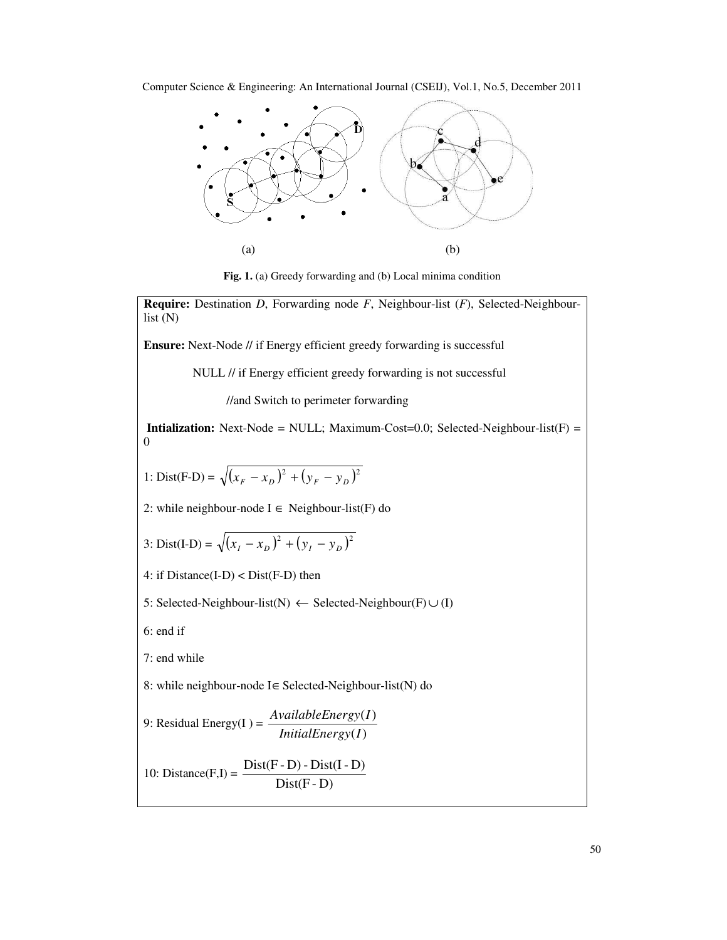

**Fig. 1.** (a) Greedy forwarding and (b) Local minima condition

**Require:** Destination *D*, Forwarding node *F*, Neighbour-list (*F*), Selected-Neighbourlist (N) **Ensure:** Next-Node // if Energy efficient greedy forwarding is successful NULL // if Energy efficient greedy forwarding is not successful //and Switch to perimeter forwarding **Intialization:** Next-Node = NULL; Maximum-Cost=0.0; Selected-Neighbour-list( $F$ ) = 0 1: Dist(F-D) =  $\sqrt{(x_F - x_D)^2 + (y_F - y_D)^2}$ 2: while neighbour-node  $I$  ∈ Neighbour-list(F) do 3: Dist(I-D) =  $\sqrt{(x_I - x_D)^2 + (y_I - y_D)^2}$ 4: if  $Distance(I-D) < Dist(F-D)$  then 5: Selected-Neighbour-list(N) ← Selected-Neighbour(F)∪ (I) 6: end if 7: end while 8: while neighbour-node I∈ Selected-Neighbour-list(N) do 9: Residual Energy $(I)$  =  $(I)$  $(I)$ *InitialEnergy I AvailableEnergy I* 10: Distance $(F,I)$  = Dist(F - D)  $Dist(F - D) - Dist(I - D)$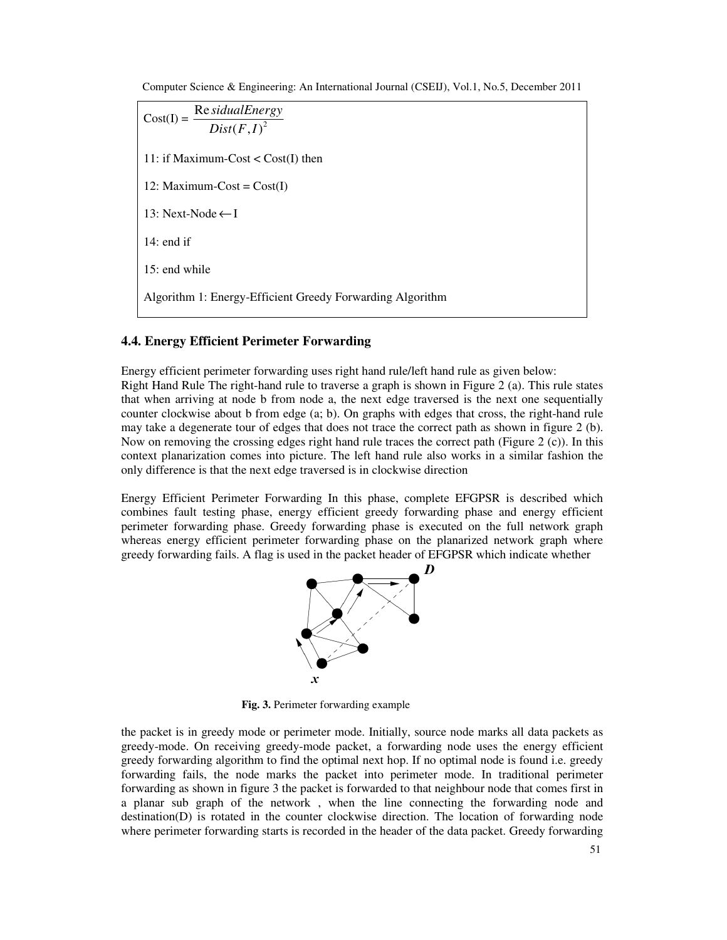| $Cost(I) = \frac{ResidualEnergy}{Dist(F, I)^2}$           |
|-----------------------------------------------------------|
| 11: if Maximum-Cost < $Cost(I)$ then                      |
| 12: Maximum-Cost = $Cost(I)$                              |
| 13: Next-Node $\leftarrow$ I                              |
| 14: end if                                                |
| $15$ : end while                                          |
| Algorithm 1: Energy-Efficient Greedy Forwarding Algorithm |

## **4.4. Energy Efficient Perimeter Forwarding**

Energy efficient perimeter forwarding uses right hand rule/left hand rule as given below: Right Hand Rule The right-hand rule to traverse a graph is shown in Figure 2 (a). This rule states that when arriving at node b from node a, the next edge traversed is the next one sequentially counter clockwise about b from edge (a; b). On graphs with edges that cross, the right-hand rule may take a degenerate tour of edges that does not trace the correct path as shown in figure 2 (b). Now on removing the crossing edges right hand rule traces the correct path (Figure 2 (c)). In this context planarization comes into picture. The left hand rule also works in a similar fashion the only difference is that the next edge traversed is in clockwise direction

Energy Efficient Perimeter Forwarding In this phase, complete EFGPSR is described which combines fault testing phase, energy efficient greedy forwarding phase and energy efficient perimeter forwarding phase. Greedy forwarding phase is executed on the full network graph whereas energy efficient perimeter forwarding phase on the planarized network graph where greedy forwarding fails. A flag is used in the packet header of EFGPSR which indicate whether



**Fig. 3.** Perimeter forwarding example

the packet is in greedy mode or perimeter mode. Initially, source node marks all data packets as greedy-mode. On receiving greedy-mode packet, a forwarding node uses the energy efficient greedy forwarding algorithm to find the optimal next hop. If no optimal node is found i.e. greedy forwarding fails, the node marks the packet into perimeter mode. In traditional perimeter forwarding as shown in figure 3 the packet is forwarded to that neighbour node that comes first in a planar sub graph of the network , when the line connecting the forwarding node and destination(D) is rotated in the counter clockwise direction. The location of forwarding node where perimeter forwarding starts is recorded in the header of the data packet. Greedy forwarding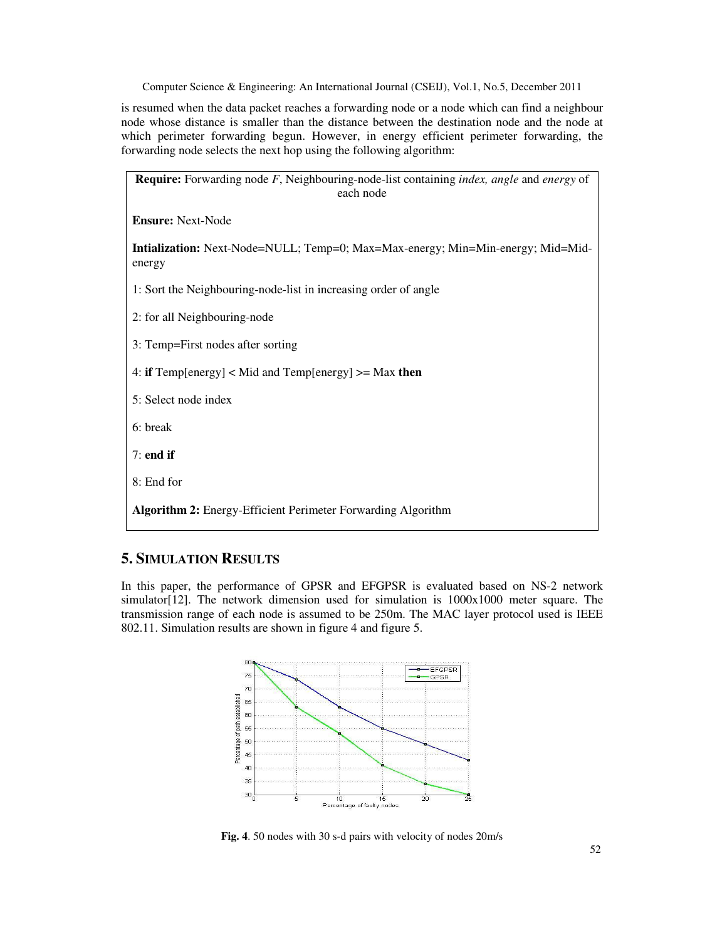is resumed when the data packet reaches a forwarding node or a node which can find a neighbour node whose distance is smaller than the distance between the destination node and the node at which perimeter forwarding begun. However, in energy efficient perimeter forwarding, the forwarding node selects the next hop using the following algorithm:

| <b>Require:</b> Forwarding node F, Neighbouring-node-list containing <i>index, angle</i> and <i>energy</i> of<br>each node |
|----------------------------------------------------------------------------------------------------------------------------|
| <b>Ensure: Next-Node</b>                                                                                                   |
| Intialization: Next-Node=NULL; Temp=0; Max=Max-energy; Min=Min-energy; Mid=Mid-<br>energy                                  |
| 1: Sort the Neighbouring-node-list in increasing order of angle                                                            |
| 2: for all Neighbouring-node                                                                                               |
| 3: Temp=First nodes after sorting                                                                                          |
| 4: if Temp[energy] < Mid and Temp[energy] >= Max then                                                                      |
| 5: Select node index                                                                                                       |
| 6: break                                                                                                                   |
| $7:$ end if                                                                                                                |
| 8: End for                                                                                                                 |
| <b>Algorithm 2:</b> Energy-Efficient Perimeter Forwarding Algorithm                                                        |

# **5. SIMULATION RESULTS**

In this paper, the performance of GPSR and EFGPSR is evaluated based on NS-2 network simulator[12]. The network dimension used for simulation is 1000x1000 meter square. The transmission range of each node is assumed to be 250m. The MAC layer protocol used is IEEE 802.11. Simulation results are shown in figure 4 and figure 5.



**Fig. 4**. 50 nodes with 30 s-d pairs with velocity of nodes 20m/s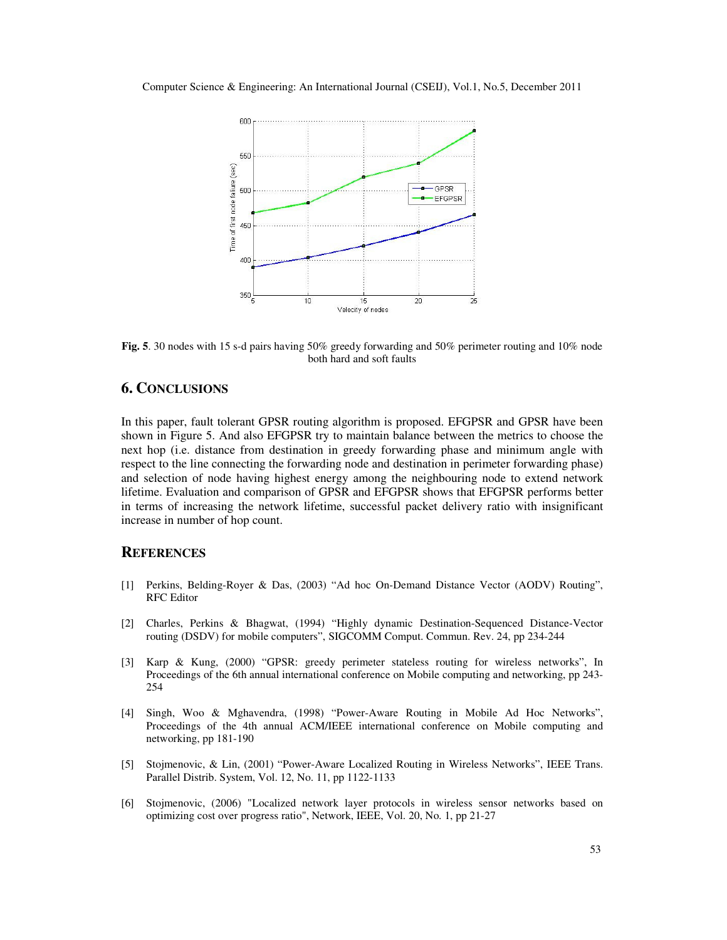

**Fig. 5**. 30 nodes with 15 s-d pairs having 50% greedy forwarding and 50% perimeter routing and 10% node both hard and soft faults

# **6. CONCLUSIONS**

In this paper, fault tolerant GPSR routing algorithm is proposed. EFGPSR and GPSR have been shown in Figure 5. And also EFGPSR try to maintain balance between the metrics to choose the next hop (i.e. distance from destination in greedy forwarding phase and minimum angle with respect to the line connecting the forwarding node and destination in perimeter forwarding phase) and selection of node having highest energy among the neighbouring node to extend network lifetime. Evaluation and comparison of GPSR and EFGPSR shows that EFGPSR performs better in terms of increasing the network lifetime, successful packet delivery ratio with insignificant increase in number of hop count.

#### **REFERENCES**

- [1] Perkins, Belding-Royer & Das, (2003) "Ad hoc On-Demand Distance Vector (AODV) Routing", RFC Editor
- [2] Charles, Perkins & Bhagwat, (1994) "Highly dynamic Destination-Sequenced Distance-Vector routing (DSDV) for mobile computers", SIGCOMM Comput. Commun. Rev. 24, pp 234-244
- [3] Karp & Kung, (2000) "GPSR: greedy perimeter stateless routing for wireless networks", In Proceedings of the 6th annual international conference on Mobile computing and networking, pp 243- 254
- [4] Singh, Woo & Mghavendra, (1998) "Power-Aware Routing in Mobile Ad Hoc Networks", Proceedings of the 4th annual ACM/IEEE international conference on Mobile computing and networking, pp 181-190
- [5] Stojmenovic, & Lin, (2001) "Power-Aware Localized Routing in Wireless Networks", IEEE Trans. Parallel Distrib. System, Vol. 12, No. 11, pp 1122-1133
- [6] Stojmenovic, (2006) "Localized network layer protocols in wireless sensor networks based on optimizing cost over progress ratio", Network, IEEE, Vol. 20, No. 1, pp 21-27